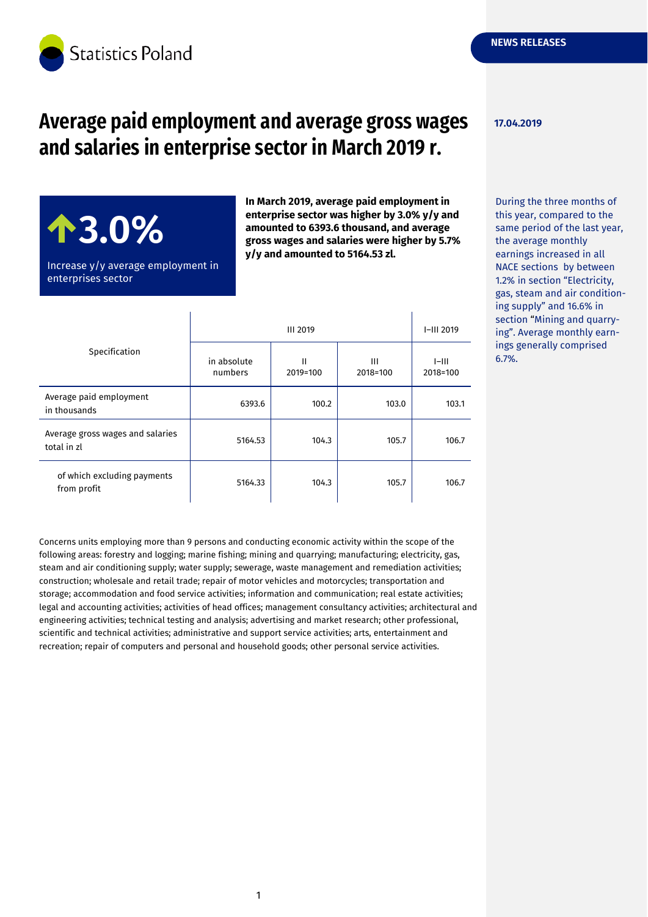

# **Average paid employment and average gross wages and salaries in enterprise sector in March 2019 r.**

**17.04.2019**

6.7%.

## During the three months of this year, compared to the same period of the last year, the average monthly earnings increased in all NACE sections by between 1.2% in section "Electricity, gas, steam and air conditioning supply" and 16.6% in section "Mining and quarrying". Average monthly earnings generally comprised

Increase y/y average employment in enterprises sector

 $\mathbf{I}$ 

**3.0%**

**enterprise sector was higher by 3.0% y/y and amounted to 6393.6 thousand, and average gross wages and salaries were higher by 5.7% y/y and amounted to 5164.53 zl.**

 $\mathbf{I}$ 

**In March 2019, average paid employment in** 

| Specification                                   | <b>III 2019</b>        |               |               | $I-III$ 2019        |
|-------------------------------------------------|------------------------|---------------|---------------|---------------------|
|                                                 | in absolute<br>numbers | Ш<br>2019=100 | Ш<br>2018=100 | $I=III$<br>2018=100 |
| Average paid employment<br>in thousands         | 6393.6                 | 100.2         | 103.0         | 103.1               |
| Average gross wages and salaries<br>total in zl | 5164.53                | 104.3         | 105.7         | 106.7               |
| of which excluding payments<br>from profit      | 5164.33                | 104.3         | 105.7         | 106.7               |

Concerns units employing more than 9 persons and conducting economic activity within the scope of the following areas: forestry and logging; marine fishing; mining and quarrying; manufacturing; electricity, gas, steam and air conditioning supply; water supply; sewerage, waste management and remediation activities; construction; wholesale and retail trade; repair of motor vehicles and motorcycles; transportation and storage; accommodation and food service activities; information and communication; real estate activities; legal and accounting activities; activities of head offices; management consultancy activities; architectural and engineering activities; technical testing and analysis; advertising and market research; other professional, scientific and technical activities; administrative and support service activities; arts, entertainment and recreation; repair of computers and personal and household goods; other personal service activities.